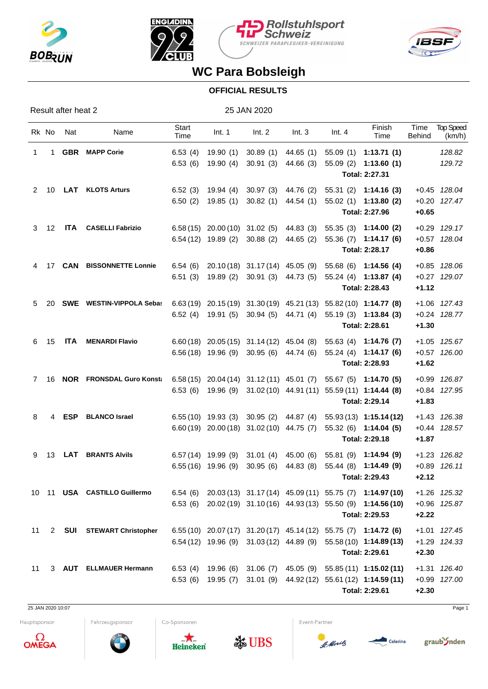







## **WC Para Bobsleigh**

## **OFFICIAL RESULTS**

Result after heat 2 25 JAN 2020

| Rk No |              | Nat        | Name                                                                                     | <b>Start</b><br>Time | Int. 1                                           | Int. 2                          | Int.3                                            | Int.4 | Finish<br>Time                                                                      | Time<br><b>Behind</b> | <b>Top Speed</b><br>(km/h)   |
|-------|--------------|------------|------------------------------------------------------------------------------------------|----------------------|--------------------------------------------------|---------------------------------|--------------------------------------------------|-------|-------------------------------------------------------------------------------------|-----------------------|------------------------------|
| 1     | $\mathbf{1}$ |            | <b>GBR</b> MAPP Corie                                                                    | 6.53(4)              |                                                  | 19.90 (1) 30.89 (1)             | 44.65(1)                                         |       | $55.09(1)$ 1:13.71 (1)                                                              |                       | 128.82                       |
|       |              |            |                                                                                          | 6.53(6)              |                                                  | 19.90 (4) 30.91 (3) 44.66 (3)   |                                                  |       | $55.09(2)$ 1:13.60(1)<br>Total: 2:27.31                                             |                       | 129.72                       |
|       |              |            | 2 10 LAT KLOTS Arturs                                                                    | 6.52(3)              | 19.94 (4) 30.97 (3) 44.76 (2)                    |                                 |                                                  |       | $55.31(2)$ 1:14.16 (3)                                                              |                       | +0.45 128.04                 |
|       |              |            |                                                                                          |                      |                                                  |                                 | $6.50$ (2) $19.85$ (1) $30.82$ (1) $44.54$ (1)   |       | $55.02(1)$ 1:13.80 (2)<br>Total: 2:27.96                                            | $+0.65$               | +0.20 127.47                 |
|       |              |            | 3 12 ITA CASELLI Fabrizio                                                                |                      |                                                  |                                 | $6.58(15)$ 20.00 (10) 31.02 (5) 44.83 (3)        |       | 55.35 (3) 1:14.00 (2)                                                               |                       | +0.29 129.17                 |
|       |              |            |                                                                                          |                      | $6.54(12)$ 19.89 (2) 30.88 (2) 44.65 (2)         |                                 |                                                  |       | $55.36(7)$ 1:14.17 (6)                                                              |                       | +0.57 128.04                 |
|       | 4 17         |            | <b>CAN BISSONNETTE Lonnie</b>                                                            | 6.54 (6)             |                                                  | 20.10 (18) 31.17 (14) 45.05 (9) |                                                  |       | Total: 2:28.17<br>55.68 (6) 1:14.56 (4)                                             | $+0.86$               | +0.85 128.06                 |
|       |              |            |                                                                                          | 6.51(3)              |                                                  |                                 | 19.89 (2) 30.91 (3) 44.73 (5)                    |       | 55.24 (4) 1:13.87 (4)                                                               |                       | +0.27 129.07                 |
|       |              |            |                                                                                          |                      |                                                  |                                 |                                                  |       | Total: 2:28.43                                                                      | $+1.12$               |                              |
| 5     | 20           |            | <b>SWE</b> WESTIN-VIPPOLA Sebas                                                          |                      |                                                  |                                 |                                                  |       | $6.63(19)$ $20.15(19)$ $31.30(19)$ $45.21(13)$ $55.82(10)$ <b>1:14.77 (8)</b>       |                       | +1.06 127.43                 |
|       |              |            |                                                                                          |                      |                                                  |                                 | 6.52 (4) 19.91 (5) 30.94 (5) 44.71 (4)           |       | 55.19 (3) 1:13.84 (3)<br>Total: 2:28.61                                             | $+1.30$               | +0.24 128.77                 |
| 6     | 15           |            | <b>ITA MENARDI Flavio</b>                                                                |                      |                                                  |                                 | $6.60(18)$ 20.05 $(15)$ 31.14 $(12)$ 45.04 $(8)$ |       | 55.63 (4) 1:14.76 (7)                                                               |                       | +1.05 125.67                 |
|       |              |            |                                                                                          |                      | $6.56(18)$ 19.96 (9) 30.95 (6) 44.74 (6)         |                                 |                                                  |       | $55.24(4)$ 1:14.17 (6)                                                              |                       | +0.57 126.00                 |
|       |              |            |                                                                                          |                      |                                                  |                                 |                                                  |       | Total: 2:28.93                                                                      | $+1.62$               |                              |
| 7 16  |              |            | NOR FRONSDAL Guro Konst: 6.58 (15) 20.04 (14) 31.12 (11) 45.01 (7) 55.67 (5) 1:14.70 (5) |                      |                                                  |                                 |                                                  |       | 6.53 (6) 19.96 (9) 31.02 (10) 44.91 (11) 55.59 (11) 1:14.44 (8)                     |                       | +0.99 126.87<br>+0.84 127.95 |
|       |              |            |                                                                                          |                      |                                                  |                                 |                                                  |       | Total: 2:29.14                                                                      | $+1.83$               |                              |
| 8     | 4            | <b>ESP</b> | <b>BLANCO Israel</b>                                                                     |                      | $6.55(10)$ 19.93 (3) 30.95 (2) 44.87 (4)         |                                 |                                                  |       | $55.93(13)$ 1:15.14(12)                                                             |                       | +1.43 126.38                 |
|       |              |            |                                                                                          |                      | $6.60(19)$ 20.00 $(18)$ 31.02 $(10)$ 44.75 $(7)$ |                                 |                                                  |       | 55.32 (6) 1:14.04 (5)<br>Total: 2:29.18                                             | $+1.87$               | +0.44 128.57                 |
| 9     | 13           | LAT        | <b>BRANTS Alvils</b>                                                                     |                      | 6.57 (14) 19.99 (9) 31.01 (4) 45.00 (6)          |                                 |                                                  |       | 55.81 (9) 1:14.94 (9)                                                               |                       | +1.23 126.82                 |
|       |              |            |                                                                                          |                      |                                                  |                                 | $6.55(16)$ 19.96 (9) 30.95 (6) 44.83 (8)         |       | 55.44 (8) 1:14.49 (9)<br>Total: 2:29.43                                             | $+2.12$               | $+0.89$ 126.11               |
|       |              |            | 10 11 USA CASTILLO Guillermo                                                             |                      |                                                  |                                 |                                                  |       | $6.54$ (6) $20.03(13)$ $31.17(14)$ $45.09(11)$ $55.75(7)$ $1:14.97(10)$             |                       |                              |
|       |              |            |                                                                                          |                      |                                                  |                                 |                                                  |       | 6.53 (6) 20.02 (19) 31.10 (16) 44.93 (13) 55.50 (9) 1:14.56 (10)                    |                       | +1.26 125.32<br>+0.96 125.87 |
|       |              |            |                                                                                          |                      |                                                  |                                 |                                                  |       | Total: 2:29.53                                                                      | $+2.22$               |                              |
| 11    |              |            | 2 SUI STEWART Christopher                                                                |                      |                                                  |                                 |                                                  |       | 6.55 (10) 20.07 (17) 31.20 (17) 45.14 (12) 55.75 (7) 1:14.72 (6)                    |                       | +1.01 127.45                 |
|       |              |            |                                                                                          |                      |                                                  |                                 |                                                  |       | $6.54(12)$ 19.96 (9) 31.03 (12) 44.89 (9) 55.58 (10) 1:14.89 (13)<br>Total: 2:29.61 | $+2.30$               | +1.29 124.33                 |
| 11    |              |            | 3 AUT ELLMAUER Hermann                                                                   |                      |                                                  |                                 |                                                  |       | 6.53 (4) 19.96 (6) 31.06 (7) 45.05 (9) 55.85 (11) 1:15.02 (11)                      |                       | +1.31 126.40                 |
|       |              |            |                                                                                          |                      |                                                  |                                 |                                                  |       | 6.53 (6) 19.95 (7) 31.01 (9) 44.92 (12) 55.61 (12) 1:14.59 (11)                     |                       | +0.99 127.00                 |
|       |              |            |                                                                                          |                      |                                                  |                                 |                                                  |       | Total: 2:29.61                                                                      | $+2.30$               |                              |

25 JAN 2020 10:07 Page 1

Hauptsponsor



Co-Sponsoren

Fahrzeugsponsor







Event-Partner